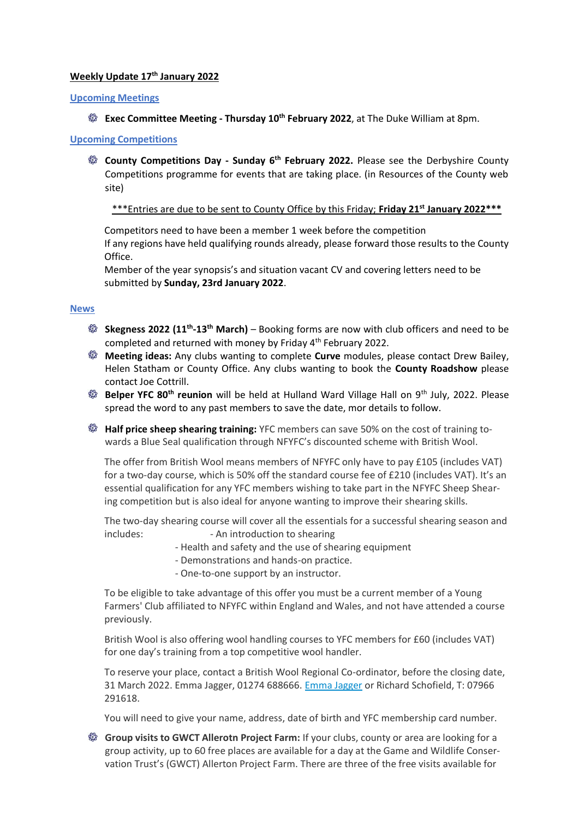# **Weekly Update 17 th January 2022**

#### **Upcoming Meetings**

**Exec Committee Meeting - Thursday 10th February 2022**, at The Duke William at 8pm.

## **Upcoming Competitions**

**County Competitions Day - Sunday 6th February 2022.** Please see the Derbyshire County Competitions programme for events that are taking place. (in Resources of the County web site)

## \*\*\*Entries are due to be sent to County Office by this Friday; **Friday 21st January 2022\*\*\***

Competitors need to have been a member 1 week before the competition If any regions have held qualifying rounds already, please forward those results to the County Office.

Member of the year synopsis's and situation vacant CV and covering letters need to be submitted by **Sunday, 23rd January 2022**.

## **News**

- **Skegness 2022 (11th -13th March)**  Booking forms are now with club officers and need to be completed and returned with money by Friday 4<sup>th</sup> February 2022.
- **Meeting ideas:** Any clubs wanting to complete **Curve** modules, please contact Drew Bailey, Helen Statham or County Office. Any clubs wanting to book the **County Roadshow** please contact Joe Cottrill.
- **Belper YFC 80th reunion** will be held at Hulland Ward Village Hall on 9th July, 2022. Please spread the word to any past members to save the date, mor details to follow.
- **Half price sheep shearing training:** YFC members can save 50% on the cost of training towards a Blue Seal qualification through NFYFC's discounted scheme with British Wool.

The offer from British Wool means members of NFYFC only have to pay £105 (includes VAT) for a two-day course, which is 50% off the standard course fee of £210 (includes VAT). It's an essential qualification for any YFC members wishing to take part in the NFYFC Sheep Shearing competition but is also ideal for anyone wanting to improve their shearing skills.

The two-day shearing course will cover all the essentials for a successful shearing season and includes:  $\blacksquare$  - An introduction to shearing

- Health and safety and the use of shearing equipment
- Demonstrations and hands-on practice.
- One-to-one support by an instructor.

To be eligible to take advantage of this offer you must be a current member of a Young Farmers' Club affiliated to NFYFC within England and Wales, and not have attended a course previously.

British Wool is also offering wool handling courses to YFC members for £60 (includes VAT) for one day's training from a top competitive wool handler.

To reserve your place, contact a British Wool Regional Co-ordinator, before the closing date, 31 March 2022. Emma Jagger, 01274 688666. [Emma Jagger](mailto:EmmaJagger@britishwool.org.uk) or Richard Schofield, T: 07966 291618.

You will need to give your name, address, date of birth and YFC membership card number.

**Group visits to GWCT Allerotn Project Farm:** If your clubs, county or area are looking for a group activity, up to 60 free places are available for a day at the Game and Wildlife Conservation Trust's (GWCT) Allerton Project Farm. There are three of the free visits available for